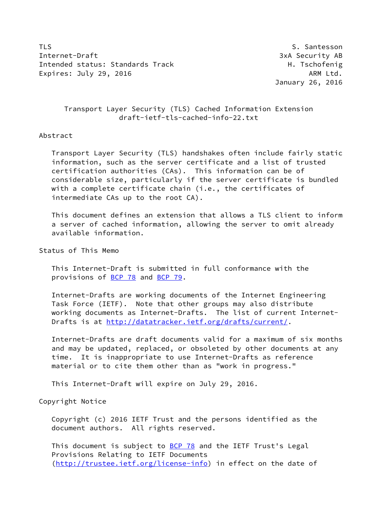TLS Santesson St. Santesson St. Santesson St. Santesson St. Santesson St. Santesson St. Santesson St. Santesson Internet-Draft 3xA Security AB Intended status: Standards Track H. Tschofenig Expires: July 29, 2016 **ARM Ltd.** 

January 26, 2016

# Transport Layer Security (TLS) Cached Information Extension draft-ietf-tls-cached-info-22.txt

## Abstract

 Transport Layer Security (TLS) handshakes often include fairly static information, such as the server certificate and a list of trusted certification authorities (CAs). This information can be of considerable size, particularly if the server certificate is bundled with a complete certificate chain (i.e., the certificates of intermediate CAs up to the root CA).

 This document defines an extension that allows a TLS client to inform a server of cached information, allowing the server to omit already available information.

Status of This Memo

 This Internet-Draft is submitted in full conformance with the provisions of [BCP 78](https://datatracker.ietf.org/doc/pdf/bcp78) and [BCP 79](https://datatracker.ietf.org/doc/pdf/bcp79).

 Internet-Drafts are working documents of the Internet Engineering Task Force (IETF). Note that other groups may also distribute working documents as Internet-Drafts. The list of current Internet- Drafts is at<http://datatracker.ietf.org/drafts/current/>.

 Internet-Drafts are draft documents valid for a maximum of six months and may be updated, replaced, or obsoleted by other documents at any time. It is inappropriate to use Internet-Drafts as reference material or to cite them other than as "work in progress."

This Internet-Draft will expire on July 29, 2016.

Copyright Notice

 Copyright (c) 2016 IETF Trust and the persons identified as the document authors. All rights reserved.

This document is subject to **[BCP 78](https://datatracker.ietf.org/doc/pdf/bcp78)** and the IETF Trust's Legal Provisions Relating to IETF Documents [\(http://trustee.ietf.org/license-info](http://trustee.ietf.org/license-info)) in effect on the date of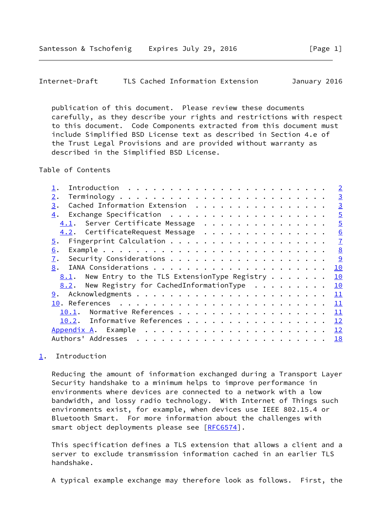<span id="page-1-1"></span>Internet-Draft TLS Cached Information Extension January 2016

 publication of this document. Please review these documents carefully, as they describe your rights and restrictions with respect to this document. Code Components extracted from this document must include Simplified BSD License text as described in Section 4.e of the Trust Legal Provisions and are provided without warranty as described in the Simplified BSD License.

### Table of Contents

|                                                                    | $\overline{2}$ |
|--------------------------------------------------------------------|----------------|
| 2.                                                                 | $\overline{3}$ |
| Cached Information Extension<br>3.                                 | $\overline{3}$ |
| 4.                                                                 | $\overline{5}$ |
| 4.1. Server Certificate Message                                    | $\overline{5}$ |
| 4.2. CertificateRequest Message                                    | 6              |
| 5.                                                                 | $\mathbf{I}$   |
| 6.                                                                 | 8              |
| 7.                                                                 | 9              |
| 8.                                                                 | 10             |
| <u>8.1</u> . New Entry to the TLS ExtensionType Registry $\cdots$  | 10             |
| 8.2. New Registry for CachedInformationType $\ldots \ldots \ldots$ | 10             |
|                                                                    | 11             |
|                                                                    | 11             |
| Normative References<br>10.1.                                      | 11             |
| 10.2. Informative References                                       | 12             |
|                                                                    | 12             |
| Authors' Addresses                                                 | <u>18</u>      |
|                                                                    |                |

# <span id="page-1-0"></span>[1](#page-1-0). Introduction

 Reducing the amount of information exchanged during a Transport Layer Security handshake to a minimum helps to improve performance in environments where devices are connected to a network with a low bandwidth, and lossy radio technology. With Internet of Things such environments exist, for example, when devices use IEEE 802.15.4 or Bluetooth Smart. For more information about the challenges with smart object deployments please see [\[RFC6574](https://datatracker.ietf.org/doc/pdf/rfc6574)].

 This specification defines a TLS extension that allows a client and a server to exclude transmission information cached in an earlier TLS handshake.

A typical example exchange may therefore look as follows. First, the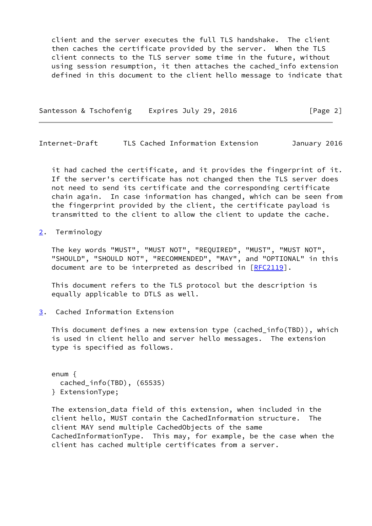client and the server executes the full TLS handshake. The client then caches the certificate provided by the server. When the TLS client connects to the TLS server some time in the future, without using session resumption, it then attaches the cached\_info extension defined in this document to the client hello message to indicate that

Santesson & Tschofenig Expires July 29, 2016 [Page 2]

<span id="page-2-1"></span>Internet-Draft TLS Cached Information Extension January 2016

 it had cached the certificate, and it provides the fingerprint of it. If the server's certificate has not changed then the TLS server does not need to send its certificate and the corresponding certificate chain again. In case information has changed, which can be seen from the fingerprint provided by the client, the certificate payload is transmitted to the client to allow the client to update the cache.

<span id="page-2-0"></span>[2](#page-2-0). Terminology

 The key words "MUST", "MUST NOT", "REQUIRED", "MUST", "MUST NOT", "SHOULD", "SHOULD NOT", "RECOMMENDED", "MAY", and "OPTIONAL" in this document are to be interpreted as described in [\[RFC2119](https://datatracker.ietf.org/doc/pdf/rfc2119)].

 This document refers to the TLS protocol but the description is equally applicable to DTLS as well.

<span id="page-2-2"></span>[3](#page-2-2). Cached Information Extension

 This document defines a new extension type (cached\_info(TBD)), which is used in client hello and server hello messages. The extension type is specified as follows.

 enum { cached\_info(TBD), (65535) } ExtensionType;

 The extension\_data field of this extension, when included in the client hello, MUST contain the CachedInformation structure. The client MAY send multiple CachedObjects of the same CachedInformationType. This may, for example, be the case when the client has cached multiple certificates from a server.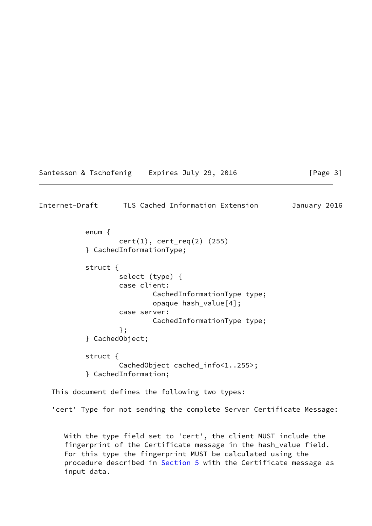| Santesson & Tschofenig |  |  |  |  | Expires July 29, 2016 |  |  |  |
|------------------------|--|--|--|--|-----------------------|--|--|--|
|------------------------|--|--|--|--|-----------------------|--|--|--|

## Internet-Draft TLS Cached Information Extension January 2016

 enum { cert(1), cert\_req(2) (255) } CachedInformationType; struct { select (type) { case client: CachedInformationType type; opaque hash\_value[4]; case server: CachedInformationType type; }; } CachedObject; struct { CachedObject cached\_info<1..255>; } CachedInformation;

This document defines the following two types:

'cert' Type for not sending the complete Server Certificate Message:

 With the type field set to 'cert', the client MUST include the fingerprint of the Certificate message in the hash\_value field. For this type the fingerprint MUST be calculated using the procedure described in **Section 5** with the Certificate message as input data.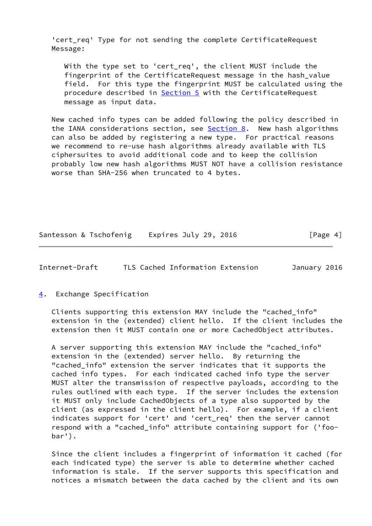'cert req' Type for not sending the complete CertificateRequest Message:

 With the type set to 'cert\_req', the client MUST include the fingerprint of the CertificateRequest message in the hash\_value field. For this type the fingerprint MUST be calculated using the procedure described in [Section 5](#page-7-0) with the CertificateRequest message as input data.

 New cached info types can be added following the policy described in the IANA considerations section, see  $Section 8$ . New hash algorithms can also be added by registering a new type. For practical reasons we recommend to re-use hash algorithms already available with TLS ciphersuites to avoid additional code and to keep the collision probably low new hash algorithms MUST NOT have a collision resistance worse than SHA-256 when truncated to 4 bytes.

Santesson & Tschofenig Expires July 29, 2016 **Figure** 41

<span id="page-4-1"></span>Internet-Draft TLS Cached Information Extension January 2016

<span id="page-4-0"></span>[4](#page-4-0). Exchange Specification

 Clients supporting this extension MAY include the "cached\_info" extension in the (extended) client hello. If the client includes the extension then it MUST contain one or more CachedObject attributes.

 A server supporting this extension MAY include the "cached\_info" extension in the (extended) server hello. By returning the "cached\_info" extension the server indicates that it supports the cached info types. For each indicated cached info type the server MUST alter the transmission of respective payloads, according to the rules outlined with each type. If the server includes the extension it MUST only include CachedObjects of a type also supported by the client (as expressed in the client hello). For example, if a client indicates support for 'cert' and 'cert\_req' then the server cannot respond with a "cached\_info" attribute containing support for ('foo bar').

 Since the client includes a fingerprint of information it cached (for each indicated type) the server is able to determine whether cached information is stale. If the server supports this specification and notices a mismatch between the data cached by the client and its own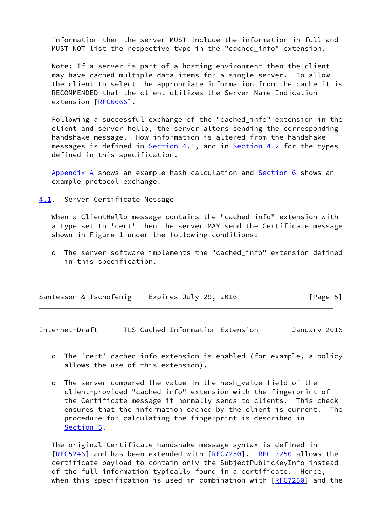information then the server MUST include the information in full and MUST NOT list the respective type in the "cached info" extension.

 Note: If a server is part of a hosting environment then the client may have cached multiple data items for a single server. To allow the client to select the appropriate information from the cache it is RECOMMENDED that the client utilizes the Server Name Indication extension [[RFC6066](https://datatracker.ietf.org/doc/pdf/rfc6066)].

 Following a successful exchange of the "cached\_info" extension in the client and server hello, the server alters sending the corresponding handshake message. How information is altered from the handshake messages is defined in **[Section 4.1](#page-5-0)**, and in **[Section 4.2](#page-6-0)** for the types defined in this specification.

 [Appendix A](#page-13-0) shows an example hash calculation and [Section 6](#page-8-0) shows an example protocol exchange.

<span id="page-5-0"></span>[4.1](#page-5-0). Server Certificate Message

 When a ClientHello message contains the "cached\_info" extension with a type set to 'cert' then the server MAY send the Certificate message shown in Figure 1 under the following conditions:

 o The server software implements the "cached\_info" extension defined in this specification.

| Santesson & Tschofenig | Expires July 29, 2016 | [Page 5] |
|------------------------|-----------------------|----------|
|------------------------|-----------------------|----------|

<span id="page-5-1"></span>Internet-Draft TLS Cached Information Extension January 2016

- o The 'cert' cached info extension is enabled (for example, a policy allows the use of this extension).
- o The server compared the value in the hash\_value field of the client-provided "cached\_info" extension with the fingerprint of the Certificate message it normally sends to clients. This check ensures that the information cached by the client is current. The procedure for calculating the fingerprint is described in [Section 5.](#page-7-0)

 The original Certificate handshake message syntax is defined in [\[RFC5246](https://datatracker.ietf.org/doc/pdf/rfc5246)] and has been extended with [\[RFC7250](https://datatracker.ietf.org/doc/pdf/rfc7250)]. [RFC 7250](https://datatracker.ietf.org/doc/pdf/rfc7250) allows the certificate payload to contain only the SubjectPublicKeyInfo instead of the full information typically found in a certificate. Hence, when this specification is used in combination with  $[REC7250]$  and the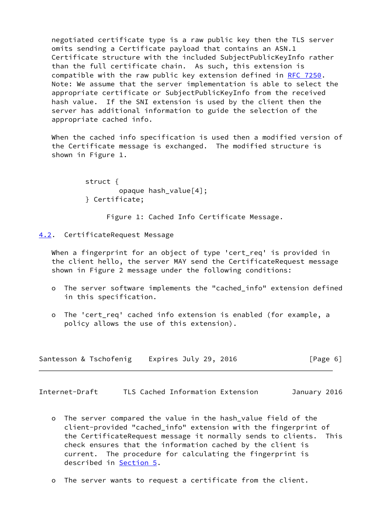negotiated certificate type is a raw public key then the TLS server omits sending a Certificate payload that contains an ASN.1 Certificate structure with the included SubjectPublicKeyInfo rather than the full certificate chain. As such, this extension is compatible with the raw public key extension defined in [RFC 7250](https://datatracker.ietf.org/doc/pdf/rfc7250). Note: We assume that the server implementation is able to select the appropriate certificate or SubjectPublicKeyInfo from the received hash value. If the SNI extension is used by the client then the server has additional information to guide the selection of the appropriate cached info.

 When the cached info specification is used then a modified version of the Certificate message is exchanged. The modified structure is shown in Figure 1.

> struct { opaque hash\_value[4]; } Certificate;

> > Figure 1: Cached Info Certificate Message.

### <span id="page-6-0"></span>[4.2](#page-6-0). CertificateRequest Message

 When a fingerprint for an object of type 'cert\_req' is provided in the client hello, the server MAY send the CertificateRequest message shown in Figure 2 message under the following conditions:

- o The server software implements the "cached\_info" extension defined in this specification.
- o The 'cert\_req' cached info extension is enabled (for example, a policy allows the use of this extension).

| Santesson & Tschofenig | Expires July 29, 2016 | [Page 6] |
|------------------------|-----------------------|----------|
|------------------------|-----------------------|----------|

<span id="page-6-1"></span>Internet-Draft TLS Cached Information Extension January 2016

- o The server compared the value in the hash\_value field of the client-provided "cached\_info" extension with the fingerprint of the CertificateRequest message it normally sends to clients. This check ensures that the information cached by the client is current. The procedure for calculating the fingerprint is described in [Section 5](#page-7-0).
- o The server wants to request a certificate from the client.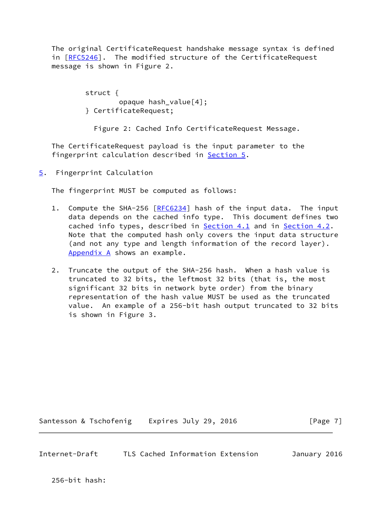The original CertificateRequest handshake message syntax is defined in [[RFC5246\]](https://datatracker.ietf.org/doc/pdf/rfc5246). The modified structure of the CertificateRequest message is shown in Figure 2.

> struct { opaque hash\_value[4]; } CertificateRequest;

Figure 2: Cached Info CertificateRequest Message.

 The CertificateRequest payload is the input parameter to the fingerprint calculation described in [Section 5](#page-7-0).

<span id="page-7-0"></span>[5](#page-7-0). Fingerprint Calculation

The fingerprint MUST be computed as follows:

- 1. Compute the SHA-256 [\[RFC6234](https://datatracker.ietf.org/doc/pdf/rfc6234)] hash of the input data. The input data depends on the cached info type. This document defines two cached info types, described in [Section 4.1](#page-5-0) and in [Section 4.2](#page-6-0). Note that the computed hash only covers the input data structure (and not any type and length information of the record layer). [Appendix A](#page-13-0) shows an example.
- 2. Truncate the output of the SHA-256 hash. When a hash value is truncated to 32 bits, the leftmost 32 bits (that is, the most significant 32 bits in network byte order) from the binary representation of the hash value MUST be used as the truncated value. An example of a 256-bit hash output truncated to 32 bits is shown in Figure 3.

Santesson & Tschofenig Expires July 29, 2016 [Page 7]

<span id="page-7-1"></span>Internet-Draft TLS Cached Information Extension January 2016

256-bit hash: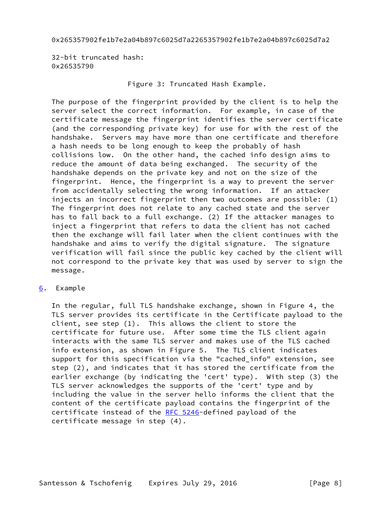0x265357902fe1b7e2a04b897c6025d7a2265357902fe1b7e2a04b897c6025d7a2

 32-bit truncated hash: 0x26535790

# Figure 3: Truncated Hash Example.

 The purpose of the fingerprint provided by the client is to help the server select the correct information. For example, in case of the certificate message the fingerprint identifies the server certificate (and the corresponding private key) for use for with the rest of the handshake. Servers may have more than one certificate and therefore a hash needs to be long enough to keep the probably of hash collisions low. On the other hand, the cached info design aims to reduce the amount of data being exchanged. The security of the handshake depends on the private key and not on the size of the fingerprint. Hence, the fingerprint is a way to prevent the server from accidentally selecting the wrong information. If an attacker injects an incorrect fingerprint then two outcomes are possible: (1) The fingerprint does not relate to any cached state and the server has to fall back to a full exchange. (2) If the attacker manages to inject a fingerprint that refers to data the client has not cached then the exchange will fail later when the client continues with the handshake and aims to verify the digital signature. The signature verification will fail since the public key cached by the client will not correspond to the private key that was used by server to sign the message.

# <span id="page-8-0"></span>[6](#page-8-0). Example

 In the regular, full TLS handshake exchange, shown in Figure 4, the TLS server provides its certificate in the Certificate payload to the client, see step (1). This allows the client to store the certificate for future use. After some time the TLS client again interacts with the same TLS server and makes use of the TLS cached info extension, as shown in Figure 5. The TLS client indicates support for this specification via the "cached\_info" extension, see step (2), and indicates that it has stored the certificate from the earlier exchange (by indicating the 'cert' type). With step (3) the TLS server acknowledges the supports of the 'cert' type and by including the value in the server hello informs the client that the content of the certificate payload contains the fingerprint of the certificate instead of the [RFC 5246-](https://datatracker.ietf.org/doc/pdf/rfc5246)defined payload of the certificate message in step (4).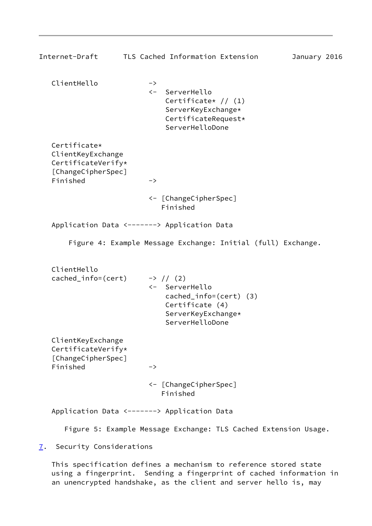<span id="page-9-1"></span>

| Internet-Draft                                                                            | TLS Cached Information Extension                                                                                                      | January 2016 |
|-------------------------------------------------------------------------------------------|---------------------------------------------------------------------------------------------------------------------------------------|--------------|
| ClientHello                                                                               | $\rightarrow$<br>ServerHello<br>$\leftarrow$<br>Certificate* $// (1)$<br>ServerKeyExchange*<br>CertificateRequest*<br>ServerHelloDone |              |
| Certificate*<br>ClientKeyExchange<br>CertificateVerify*<br>[ChangeCipherSpec]<br>Finished | $\rightarrow$                                                                                                                         |              |
|                                                                                           | <- [ChangeCipherSpec]<br>Finished                                                                                                     |              |
|                                                                                           | Application Data <-------> Application Data                                                                                           |              |
|                                                                                           | Figure 4: Example Message Exchange: Initial (full) Exchange.                                                                          |              |
| ClientHello<br>cached_info=(cert)                                                         | $\rightarrow$ // (2)<br><- ServerHello<br>$cached_info = (cert) (3)$<br>Certificate (4)<br>ServerKeyExchange*<br>ServerHelloDone      |              |
| ClientKeyExchange<br>CertificateVerify*<br>[ChangeCipherSpec]<br>Finished                 | -><br><- [ChangeCipherSpec]<br>Finished                                                                                               |              |
|                                                                                           | Application Data <-------> Application Data                                                                                           |              |
|                                                                                           | Figure 5: Example Message Exchange: TLS Cached Extension Usage.                                                                       |              |

<span id="page-9-0"></span>[7](#page-9-0). Security Considerations

 This specification defines a mechanism to reference stored state using a fingerprint. Sending a fingerprint of cached information in an unencrypted handshake, as the client and server hello is, may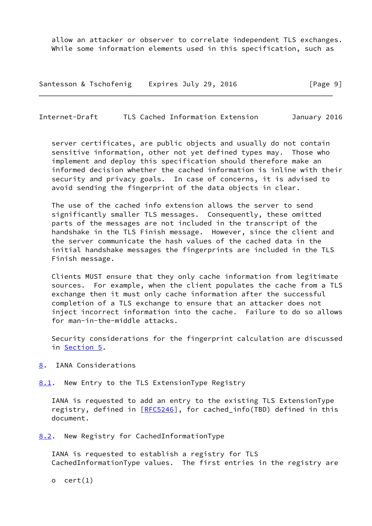allow an attacker or observer to correlate independent TLS exchanges. While some information elements used in this specification, such as

Santesson & Tschofenig Expires July 29, 2016 [Page 9]

<span id="page-10-1"></span>Internet-Draft TLS Cached Information Extension January 2016

 server certificates, are public objects and usually do not contain sensitive information, other not yet defined types may. Those who implement and deploy this specification should therefore make an informed decision whether the cached information is inline with their security and privacy goals. In case of concerns, it is advised to avoid sending the fingerprint of the data objects in clear.

 The use of the cached info extension allows the server to send significantly smaller TLS messages. Consequently, these omitted parts of the messages are not included in the transcript of the handshake in the TLS Finish message. However, since the client and the server communicate the hash values of the cached data in the initial handshake messages the fingerprints are included in the TLS Finish message.

 Clients MUST ensure that they only cache information from legitimate sources. For example, when the client populates the cache from a TLS exchange then it must only cache information after the successful completion of a TLS exchange to ensure that an attacker does not inject incorrect information into the cache. Failure to do so allows for man-in-the-middle attacks.

 Security considerations for the fingerprint calculation are discussed in [Section 5.](#page-7-0)

<span id="page-10-0"></span>[8](#page-10-0). IANA Considerations

<span id="page-10-2"></span>[8.1](#page-10-2). New Entry to the TLS ExtensionType Registry

 IANA is requested to add an entry to the existing TLS ExtensionType registry, defined in [\[RFC5246](https://datatracker.ietf.org/doc/pdf/rfc5246)], for cached\_info(TBD) defined in this document.

<span id="page-10-3"></span>[8.2](#page-10-3). New Registry for CachedInformationType

 IANA is requested to establish a registry for TLS CachedInformationType values. The first entries in the registry are

o  $cert(1)$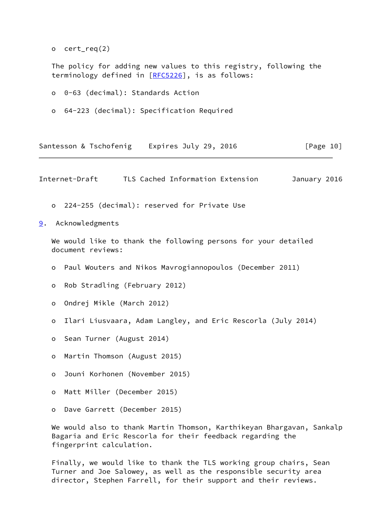o cert\_req(2)

 The policy for adding new values to this registry, following the terminology defined in [\[RFC5226](https://datatracker.ietf.org/doc/pdf/rfc5226)], is as follows:

- o 0-63 (decimal): Standards Action
- o 64-223 (decimal): Specification Required

|  |  | Santesson & Tschofenig | Expires July 29, 2016 |  |  |  | [Page 10] |  |
|--|--|------------------------|-----------------------|--|--|--|-----------|--|
|--|--|------------------------|-----------------------|--|--|--|-----------|--|

<span id="page-11-1"></span>Internet-Draft TLS Cached Information Extension January 2016

- o 224-255 (decimal): reserved for Private Use
- <span id="page-11-0"></span>[9](#page-11-0). Acknowledgments

 We would like to thank the following persons for your detailed document reviews:

- o Paul Wouters and Nikos Mavrogiannopoulos (December 2011)
- o Rob Stradling (February 2012)
- o Ondrej Mikle (March 2012)
- o Ilari Liusvaara, Adam Langley, and Eric Rescorla (July 2014)
- o Sean Turner (August 2014)
- o Martin Thomson (August 2015)
- o Jouni Korhonen (November 2015)
- o Matt Miller (December 2015)
- o Dave Garrett (December 2015)

 We would also to thank Martin Thomson, Karthikeyan Bhargavan, Sankalp Bagaria and Eric Rescorla for their feedback regarding the fingerprint calculation.

 Finally, we would like to thank the TLS working group chairs, Sean Turner and Joe Salowey, as well as the responsible security area director, Stephen Farrell, for their support and their reviews.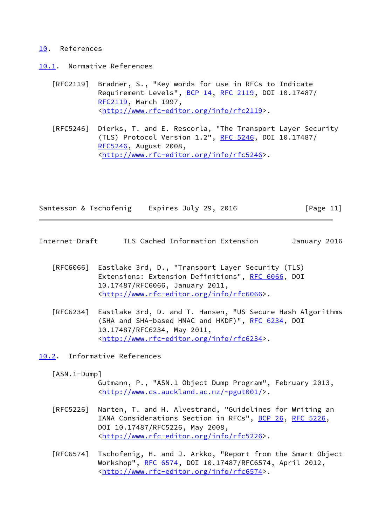#### <span id="page-12-0"></span>[10.](#page-12-0) References

- <span id="page-12-1"></span>[10.1](#page-12-1). Normative References
	- [RFC2119] Bradner, S., "Key words for use in RFCs to Indicate Requirement Levels", [BCP 14](https://datatracker.ietf.org/doc/pdf/bcp14), [RFC 2119](https://datatracker.ietf.org/doc/pdf/rfc2119), DOI 10.17487/ [RFC2119](https://datatracker.ietf.org/doc/pdf/rfc2119), March 1997, <<http://www.rfc-editor.org/info/rfc2119>>.
	- [RFC5246] Dierks, T. and E. Rescorla, "The Transport Layer Security (TLS) Protocol Version 1.2", [RFC 5246](https://datatracker.ietf.org/doc/pdf/rfc5246), DOI 10.17487/ [RFC5246](https://datatracker.ietf.org/doc/pdf/rfc5246), August 2008, <<http://www.rfc-editor.org/info/rfc5246>>.

| Santesson & Tschofenig | Expires July 29, 2016 | [Page 11] |
|------------------------|-----------------------|-----------|
|                        |                       |           |

- <span id="page-12-3"></span>Internet-Draft TLS Cached Information Extension January 2016
	- [RFC6066] Eastlake 3rd, D., "Transport Layer Security (TLS) Extensions: Extension Definitions", [RFC 6066,](https://datatracker.ietf.org/doc/pdf/rfc6066) DOI 10.17487/RFC6066, January 2011, <<http://www.rfc-editor.org/info/rfc6066>>.
	- [RFC6234] Eastlake 3rd, D. and T. Hansen, "US Secure Hash Algorithms (SHA and SHA-based HMAC and HKDF)", [RFC 6234,](https://datatracker.ietf.org/doc/pdf/rfc6234) DOI 10.17487/RFC6234, May 2011, <<http://www.rfc-editor.org/info/rfc6234>>.

<span id="page-12-2"></span>[10.2](#page-12-2). Informative References

- <span id="page-12-4"></span> [ASN.1-Dump]
	- Gutmann, P., "ASN.1 Object Dump Program", February 2013, <<http://www.cs.auckland.ac.nz/~pgut001/>>.
- [RFC5226] Narten, T. and H. Alvestrand, "Guidelines for Writing an IANA Considerations Section in RFCs", [BCP 26](https://datatracker.ietf.org/doc/pdf/bcp26), [RFC 5226](https://datatracker.ietf.org/doc/pdf/rfc5226), DOI 10.17487/RFC5226, May 2008, <<http://www.rfc-editor.org/info/rfc5226>>.
- [RFC6574] Tschofenig, H. and J. Arkko, "Report from the Smart Object Workshop", [RFC 6574](https://datatracker.ietf.org/doc/pdf/rfc6574), DOI 10.17487/RFC6574, April 2012, <<http://www.rfc-editor.org/info/rfc6574>>.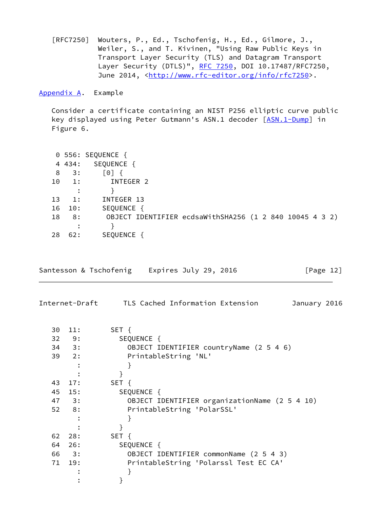[RFC7250] Wouters, P., Ed., Tschofenig, H., Ed., Gilmore, J., Weiler, S., and T. Kivinen, "Using Raw Public Keys in Transport Layer Security (TLS) and Datagram Transport Layer Security (DTLS)", [RFC 7250,](https://datatracker.ietf.org/doc/pdf/rfc7250) DOI 10.17487/RFC7250, June 2014, <<http://www.rfc-editor.org/info/rfc7250>>.

<span id="page-13-0"></span>[Appendix A.](#page-13-0) Example

 Consider a certificate containing an NIST P256 elliptic curve public key displayed using Peter Gutmann's ASN.1 decoder [[ASN.1-Dump\]](#page-12-4) in Figure 6.

|    |                | 0 556: SEQUENCE {                                       |
|----|----------------|---------------------------------------------------------|
|    | 4 4 3 4:       | SEQUENCE {                                              |
| 8  | 3:             | $\lceil 0 \rceil$                                       |
| 10 | 1:             | INTEGER 2                                               |
|    |                |                                                         |
| 13 | $\mathbf{1}$ : | INTEGER 13                                              |
| 16 | 10:            | SEQUENCE {                                              |
| 18 | 8:             | OBJECT IDENTIFIER ecdsaWithSHA256 (1 2 840 10045 4 3 2) |
|    |                |                                                         |
| 28 | 62:            | SEQUENCE {                                              |

|  |  | Santesson & Tschofenig | Expires July 29, 2016 |  |  |  | [Page 12] |  |  |
|--|--|------------------------|-----------------------|--|--|--|-----------|--|--|
|--|--|------------------------|-----------------------|--|--|--|-----------|--|--|

| Internet-Draft |  | TLS Cached Information Extension | January 2016 |  |
|----------------|--|----------------------------------|--------------|--|
|                |  |                                  |              |  |

| 30 | 11:           | SET {                                         |
|----|---------------|-----------------------------------------------|
|    | $32 \t 9:$    | SEQUENCE {                                    |
|    | $34 \quad 3:$ | OBJECT IDENTIFIER countryName (2 5 4 6)       |
|    | $39$ 2:       | PrintableString 'NL'                          |
|    |               |                                               |
|    |               |                                               |
| 43 | 17:           | SET {                                         |
| 45 | 15:           | SEQUENCE {                                    |
|    | 47 3:         | OBJECT IDENTIFIER organizationName (2 5 4 10) |
|    | $52 \t 8:$    | PrintableString 'PolarSSL'                    |
|    |               |                                               |
|    |               |                                               |
| 62 | 28:           | SET {                                         |
| 64 | 26:           | SEQUENCE {                                    |
|    | 66 3:         | OBJECT IDENTIFIER commonName (2 5 4 3)        |
| 71 | 19:           | PrintableString 'Polarssl Test EC CA'         |
|    |               |                                               |
|    |               |                                               |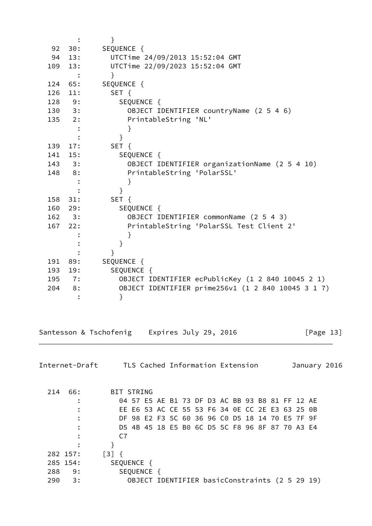| SEQUENCE {<br>92<br>30:<br>13:<br>UTCTime 24/09/2013 15:52:04 GMT<br>94<br>UTCTime 22/09/2023 15:52:04 GMT<br>13:<br>109<br>$\}$<br>SEQUENCE {<br>124 65:<br>126<br>SET {<br>11:<br>SEQUENCE {<br>128 9:<br>$130 \t3$ :<br>OBJECT IDENTIFIER countryName (2 5 4 6)<br>$135$ 2:<br>PrintableString 'NL'<br>}<br>$\}$<br>SET {<br>139<br>17:<br>SEQUENCE {<br>141 15:<br>$143 \t3$ :<br>OBJECT IDENTIFIER organizationName (2 5 4 10)<br>148 8:<br>PrintableString 'PolarSSL'<br>}<br>$\}$<br>SET {<br>158 31:<br>160 29:<br>SEQUENCE {<br>$162 \t3$ :<br>OBJECT IDENTIFIER commonName (2 5 4 3)<br>PrintableString 'PolarSSL Test Client 2'<br>167<br>22:<br>}<br>$\mathcal{F}$<br>$\}$<br>SEQUENCE {<br>191 89:<br>SEQUENCE {<br>193 19:<br>OBJECT IDENTIFIER ecPublicKey (1 2 840 10045 2 1)<br>195<br>7:<br>OBJECT IDENTIFIER prime256v1 (1 2 840 10045 3 1 7)<br>8:<br>204<br>}<br>Santesson & Tschofenig Expires July 29, 2016<br>[Page $13$ ]<br>Internet-Draft TLS Cached Information Extension<br>214 66:<br>BIT STRING<br>04 57 E5 AE B1 73 DF D3 AC BB 93 B8 81 FF 12 AE<br>EE E6 53 AC CE 55 53 F6 34 OE CC 2E E3 63 25 OB<br>DF 98 E2 F3 5C 60 36 96 C0 D5 18 14 70 E5 7F 9F<br>D5 4B 45 18 E5 B0 6C D5 5C F8 96 8F 87 70 A3 E4<br>C <sub>7</sub><br>$\}$<br>$\begin{bmatrix} 3 \end{bmatrix}$ {<br>282 157:<br>SEQUENCE {<br>285 154:<br>SEQUENCE {<br>288<br>9:<br>OBJECT IDENTIFIER basicConstraints (2 5 29 19)<br>290<br>3: |  | $\mathcal{F}$ |
|---------------------------------------------------------------------------------------------------------------------------------------------------------------------------------------------------------------------------------------------------------------------------------------------------------------------------------------------------------------------------------------------------------------------------------------------------------------------------------------------------------------------------------------------------------------------------------------------------------------------------------------------------------------------------------------------------------------------------------------------------------------------------------------------------------------------------------------------------------------------------------------------------------------------------------------------------------------------------------------------------------------------------------------------------------------------------------------------------------------------------------------------------------------------------------------------------------------------------------------------------------------------------------------------------------------------------------------------------------------------------------------------------------------------------------------------|--|---------------|
|                                                                                                                                                                                                                                                                                                                                                                                                                                                                                                                                                                                                                                                                                                                                                                                                                                                                                                                                                                                                                                                                                                                                                                                                                                                                                                                                                                                                                                             |  |               |
|                                                                                                                                                                                                                                                                                                                                                                                                                                                                                                                                                                                                                                                                                                                                                                                                                                                                                                                                                                                                                                                                                                                                                                                                                                                                                                                                                                                                                                             |  |               |
|                                                                                                                                                                                                                                                                                                                                                                                                                                                                                                                                                                                                                                                                                                                                                                                                                                                                                                                                                                                                                                                                                                                                                                                                                                                                                                                                                                                                                                             |  |               |
|                                                                                                                                                                                                                                                                                                                                                                                                                                                                                                                                                                                                                                                                                                                                                                                                                                                                                                                                                                                                                                                                                                                                                                                                                                                                                                                                                                                                                                             |  |               |
|                                                                                                                                                                                                                                                                                                                                                                                                                                                                                                                                                                                                                                                                                                                                                                                                                                                                                                                                                                                                                                                                                                                                                                                                                                                                                                                                                                                                                                             |  |               |
|                                                                                                                                                                                                                                                                                                                                                                                                                                                                                                                                                                                                                                                                                                                                                                                                                                                                                                                                                                                                                                                                                                                                                                                                                                                                                                                                                                                                                                             |  |               |
|                                                                                                                                                                                                                                                                                                                                                                                                                                                                                                                                                                                                                                                                                                                                                                                                                                                                                                                                                                                                                                                                                                                                                                                                                                                                                                                                                                                                                                             |  |               |
|                                                                                                                                                                                                                                                                                                                                                                                                                                                                                                                                                                                                                                                                                                                                                                                                                                                                                                                                                                                                                                                                                                                                                                                                                                                                                                                                                                                                                                             |  |               |
|                                                                                                                                                                                                                                                                                                                                                                                                                                                                                                                                                                                                                                                                                                                                                                                                                                                                                                                                                                                                                                                                                                                                                                                                                                                                                                                                                                                                                                             |  |               |
|                                                                                                                                                                                                                                                                                                                                                                                                                                                                                                                                                                                                                                                                                                                                                                                                                                                                                                                                                                                                                                                                                                                                                                                                                                                                                                                                                                                                                                             |  |               |
|                                                                                                                                                                                                                                                                                                                                                                                                                                                                                                                                                                                                                                                                                                                                                                                                                                                                                                                                                                                                                                                                                                                                                                                                                                                                                                                                                                                                                                             |  |               |
|                                                                                                                                                                                                                                                                                                                                                                                                                                                                                                                                                                                                                                                                                                                                                                                                                                                                                                                                                                                                                                                                                                                                                                                                                                                                                                                                                                                                                                             |  |               |
|                                                                                                                                                                                                                                                                                                                                                                                                                                                                                                                                                                                                                                                                                                                                                                                                                                                                                                                                                                                                                                                                                                                                                                                                                                                                                                                                                                                                                                             |  |               |
|                                                                                                                                                                                                                                                                                                                                                                                                                                                                                                                                                                                                                                                                                                                                                                                                                                                                                                                                                                                                                                                                                                                                                                                                                                                                                                                                                                                                                                             |  |               |
|                                                                                                                                                                                                                                                                                                                                                                                                                                                                                                                                                                                                                                                                                                                                                                                                                                                                                                                                                                                                                                                                                                                                                                                                                                                                                                                                                                                                                                             |  |               |
|                                                                                                                                                                                                                                                                                                                                                                                                                                                                                                                                                                                                                                                                                                                                                                                                                                                                                                                                                                                                                                                                                                                                                                                                                                                                                                                                                                                                                                             |  |               |
|                                                                                                                                                                                                                                                                                                                                                                                                                                                                                                                                                                                                                                                                                                                                                                                                                                                                                                                                                                                                                                                                                                                                                                                                                                                                                                                                                                                                                                             |  |               |
|                                                                                                                                                                                                                                                                                                                                                                                                                                                                                                                                                                                                                                                                                                                                                                                                                                                                                                                                                                                                                                                                                                                                                                                                                                                                                                                                                                                                                                             |  |               |
|                                                                                                                                                                                                                                                                                                                                                                                                                                                                                                                                                                                                                                                                                                                                                                                                                                                                                                                                                                                                                                                                                                                                                                                                                                                                                                                                                                                                                                             |  |               |
|                                                                                                                                                                                                                                                                                                                                                                                                                                                                                                                                                                                                                                                                                                                                                                                                                                                                                                                                                                                                                                                                                                                                                                                                                                                                                                                                                                                                                                             |  |               |
|                                                                                                                                                                                                                                                                                                                                                                                                                                                                                                                                                                                                                                                                                                                                                                                                                                                                                                                                                                                                                                                                                                                                                                                                                                                                                                                                                                                                                                             |  |               |
|                                                                                                                                                                                                                                                                                                                                                                                                                                                                                                                                                                                                                                                                                                                                                                                                                                                                                                                                                                                                                                                                                                                                                                                                                                                                                                                                                                                                                                             |  |               |
|                                                                                                                                                                                                                                                                                                                                                                                                                                                                                                                                                                                                                                                                                                                                                                                                                                                                                                                                                                                                                                                                                                                                                                                                                                                                                                                                                                                                                                             |  |               |
|                                                                                                                                                                                                                                                                                                                                                                                                                                                                                                                                                                                                                                                                                                                                                                                                                                                                                                                                                                                                                                                                                                                                                                                                                                                                                                                                                                                                                                             |  |               |
|                                                                                                                                                                                                                                                                                                                                                                                                                                                                                                                                                                                                                                                                                                                                                                                                                                                                                                                                                                                                                                                                                                                                                                                                                                                                                                                                                                                                                                             |  |               |
|                                                                                                                                                                                                                                                                                                                                                                                                                                                                                                                                                                                                                                                                                                                                                                                                                                                                                                                                                                                                                                                                                                                                                                                                                                                                                                                                                                                                                                             |  |               |
|                                                                                                                                                                                                                                                                                                                                                                                                                                                                                                                                                                                                                                                                                                                                                                                                                                                                                                                                                                                                                                                                                                                                                                                                                                                                                                                                                                                                                                             |  |               |
|                                                                                                                                                                                                                                                                                                                                                                                                                                                                                                                                                                                                                                                                                                                                                                                                                                                                                                                                                                                                                                                                                                                                                                                                                                                                                                                                                                                                                                             |  |               |
|                                                                                                                                                                                                                                                                                                                                                                                                                                                                                                                                                                                                                                                                                                                                                                                                                                                                                                                                                                                                                                                                                                                                                                                                                                                                                                                                                                                                                                             |  |               |
|                                                                                                                                                                                                                                                                                                                                                                                                                                                                                                                                                                                                                                                                                                                                                                                                                                                                                                                                                                                                                                                                                                                                                                                                                                                                                                                                                                                                                                             |  |               |
|                                                                                                                                                                                                                                                                                                                                                                                                                                                                                                                                                                                                                                                                                                                                                                                                                                                                                                                                                                                                                                                                                                                                                                                                                                                                                                                                                                                                                                             |  | January 2016  |
|                                                                                                                                                                                                                                                                                                                                                                                                                                                                                                                                                                                                                                                                                                                                                                                                                                                                                                                                                                                                                                                                                                                                                                                                                                                                                                                                                                                                                                             |  |               |
|                                                                                                                                                                                                                                                                                                                                                                                                                                                                                                                                                                                                                                                                                                                                                                                                                                                                                                                                                                                                                                                                                                                                                                                                                                                                                                                                                                                                                                             |  |               |
|                                                                                                                                                                                                                                                                                                                                                                                                                                                                                                                                                                                                                                                                                                                                                                                                                                                                                                                                                                                                                                                                                                                                                                                                                                                                                                                                                                                                                                             |  |               |
|                                                                                                                                                                                                                                                                                                                                                                                                                                                                                                                                                                                                                                                                                                                                                                                                                                                                                                                                                                                                                                                                                                                                                                                                                                                                                                                                                                                                                                             |  |               |
|                                                                                                                                                                                                                                                                                                                                                                                                                                                                                                                                                                                                                                                                                                                                                                                                                                                                                                                                                                                                                                                                                                                                                                                                                                                                                                                                                                                                                                             |  |               |
|                                                                                                                                                                                                                                                                                                                                                                                                                                                                                                                                                                                                                                                                                                                                                                                                                                                                                                                                                                                                                                                                                                                                                                                                                                                                                                                                                                                                                                             |  |               |
|                                                                                                                                                                                                                                                                                                                                                                                                                                                                                                                                                                                                                                                                                                                                                                                                                                                                                                                                                                                                                                                                                                                                                                                                                                                                                                                                                                                                                                             |  |               |
|                                                                                                                                                                                                                                                                                                                                                                                                                                                                                                                                                                                                                                                                                                                                                                                                                                                                                                                                                                                                                                                                                                                                                                                                                                                                                                                                                                                                                                             |  |               |
|                                                                                                                                                                                                                                                                                                                                                                                                                                                                                                                                                                                                                                                                                                                                                                                                                                                                                                                                                                                                                                                                                                                                                                                                                                                                                                                                                                                                                                             |  |               |
|                                                                                                                                                                                                                                                                                                                                                                                                                                                                                                                                                                                                                                                                                                                                                                                                                                                                                                                                                                                                                                                                                                                                                                                                                                                                                                                                                                                                                                             |  |               |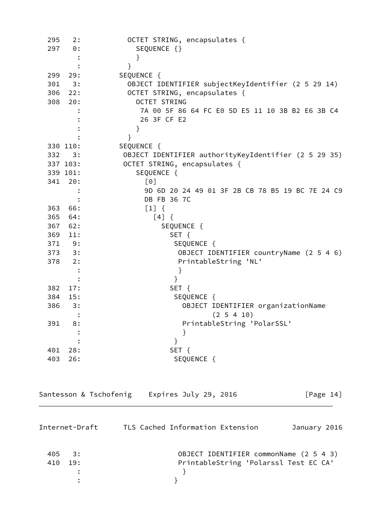| 295<br>297 | 2:<br>$\Theta$ :                         | OCTET STRING, encapsulates {<br>SEQUENCE {}                          |  |  |  |  |  |
|------------|------------------------------------------|----------------------------------------------------------------------|--|--|--|--|--|
|            |                                          | }                                                                    |  |  |  |  |  |
|            |                                          | }                                                                    |  |  |  |  |  |
| 299        | 29:                                      | SEQUENCE {                                                           |  |  |  |  |  |
| 301        | 3:                                       | OBJECT IDENTIFIER subjectKeyIdentifier (2 5 29 14)                   |  |  |  |  |  |
| 306        | OCTET STRING, encapsulates {<br>22:      |                                                                      |  |  |  |  |  |
| 308        | 20:                                      | <b>OCTET STRING</b>                                                  |  |  |  |  |  |
|            |                                          | 7A 00 5F 86 64 FC E0 5D E5 11 10 3B B2 E6 3B C4                      |  |  |  |  |  |
|            |                                          | 26 3F CF E2                                                          |  |  |  |  |  |
|            |                                          | }                                                                    |  |  |  |  |  |
|            |                                          | }                                                                    |  |  |  |  |  |
|            | 330 110:                                 | SEQUENCE {                                                           |  |  |  |  |  |
| 332        | 3:                                       | OBJECT IDENTIFIER authorityKeyIdentifier (2 5 29 35)                 |  |  |  |  |  |
|            | OCTET STRING, encapsulates {<br>337 103: |                                                                      |  |  |  |  |  |
| 339 101:   | SEQUENCE {                               |                                                                      |  |  |  |  |  |
| 341        | 20:                                      | [0]                                                                  |  |  |  |  |  |
|            |                                          | 9D 6D 20 24 49 01 3F 2B CB 78 B5 19 BC 7E 24 C9                      |  |  |  |  |  |
|            |                                          | DB FB 36 7C                                                          |  |  |  |  |  |
| 363        | 66:                                      | $[1] \{$                                                             |  |  |  |  |  |
| 365        | 64:                                      | $[4] \{$                                                             |  |  |  |  |  |
| 367        | 62:                                      | SEQUENCE {                                                           |  |  |  |  |  |
|            | 369<br>SET {<br>11:                      |                                                                      |  |  |  |  |  |
| 371        | SEQUENCE {<br>9:                         |                                                                      |  |  |  |  |  |
| 373        | 3:                                       | OBJECT IDENTIFIER countryName (2 5 4 6)                              |  |  |  |  |  |
| 378        | 2:                                       | PrintableString 'NL'                                                 |  |  |  |  |  |
|            |                                          | }                                                                    |  |  |  |  |  |
| 382        | 17:                                      | $\mathcal{F}$                                                        |  |  |  |  |  |
| 384        | 15:                                      | SET {<br>SEQUENCE {                                                  |  |  |  |  |  |
| 386        | 3:                                       | OBJECT IDENTIFIER organizationName                                   |  |  |  |  |  |
|            |                                          | $(2\;5\;4\;10)$                                                      |  |  |  |  |  |
| 391        | 8:                                       | PrintableString 'PolarSSL'                                           |  |  |  |  |  |
|            |                                          |                                                                      |  |  |  |  |  |
|            |                                          | }                                                                    |  |  |  |  |  |
| 401        | 28:                                      | SET {                                                                |  |  |  |  |  |
| 403        | 26:                                      | SEQUENCE {                                                           |  |  |  |  |  |
|            |                                          |                                                                      |  |  |  |  |  |
|            |                                          | Santesson & Tschofenig Expires July 29, 2016<br>[Page $14$ ]         |  |  |  |  |  |
|            |                                          |                                                                      |  |  |  |  |  |
|            |                                          | Internet-Draft      TLS Cached Information Extension<br>January 2016 |  |  |  |  |  |
| 405        | 3:                                       | OBJECT IDENTIFIER commonName (2 5 4 3)                               |  |  |  |  |  |
| 410        | 19:                                      | PrintableString 'Polarssl Test EC CA'                                |  |  |  |  |  |
|            |                                          | }                                                                    |  |  |  |  |  |
|            |                                          | }                                                                    |  |  |  |  |  |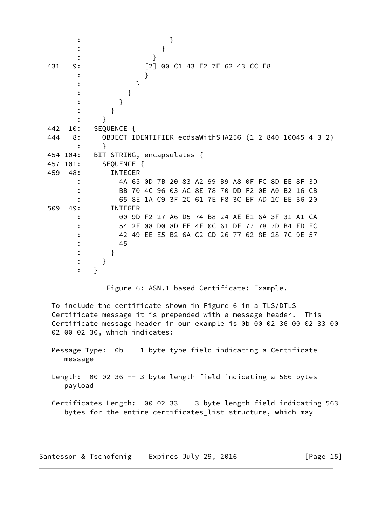| }<br>}                                                                                                                                                                                                                                 |
|----------------------------------------------------------------------------------------------------------------------------------------------------------------------------------------------------------------------------------------|
| }                                                                                                                                                                                                                                      |
| 00 C1 43 E2 7E 62 43 CC E8<br>431<br>9:<br>$\lceil 2 \rceil$                                                                                                                                                                           |
|                                                                                                                                                                                                                                        |
| }                                                                                                                                                                                                                                      |
| }                                                                                                                                                                                                                                      |
| }                                                                                                                                                                                                                                      |
| }                                                                                                                                                                                                                                      |
| $\mathcal{F}$                                                                                                                                                                                                                          |
| SEQUENCE {<br>442<br>10:                                                                                                                                                                                                               |
| OBJECT IDENTIFIER ecdsaWithSHA256 (1 2 840 10045 4 3 2)<br>444<br>8:                                                                                                                                                                   |
| }                                                                                                                                                                                                                                      |
| BIT STRING, encapsulates {<br>454 104:<br>SEQUENCE {<br>457 101:                                                                                                                                                                       |
| 459<br><b>INTEGER</b><br>48:                                                                                                                                                                                                           |
| 4A 65 0D 7B 20 83 A2 99 B9 A8 0F FC 8D EE 8F 3D                                                                                                                                                                                        |
| BB 70 4C 96 03 AC 8E 78 70 DD F2 0E A0 B2 16 CB                                                                                                                                                                                        |
| 65 8E 1A C9 3F 2C 61 7E F8 3C EF AD 1C EE 36 20                                                                                                                                                                                        |
| 509<br><b>INTEGER</b><br>49:                                                                                                                                                                                                           |
| 00 9D F2 27 A6 D5 74 B8 24 AE E1 6A 3F 31 A1 CA                                                                                                                                                                                        |
| 54 2F 08 D0 8D EE 4F 0C 61 DF 77 78 7D B4 FD FC                                                                                                                                                                                        |
| 42 49 EE E5 B2 6A C2 CD 26 77 62 8E 28 7C 9E 57                                                                                                                                                                                        |
| 45                                                                                                                                                                                                                                     |
| }                                                                                                                                                                                                                                      |
| }                                                                                                                                                                                                                                      |
| $\mathcal{F}$                                                                                                                                                                                                                          |
| Figure 6: ASN.1-based Certificate: Example.                                                                                                                                                                                            |
| To include the certificate shown in Figure 6 in a TLS/DTLS<br>Certificate message it is prepended with a message header. This<br>Certificate message header in our example is 0b 00 02 36 00 02 33 00<br>02 00 02 30, which indicates: |
| Message Type: 0b -- 1 byte type field indicating a Certificate<br>message                                                                                                                                                              |
| Length: 00 02 36 -- 3 byte length field indicating a 566 bytes<br>payload                                                                                                                                                              |
| Certificates Length: 00 02 33 -- 3 byte length field indicating 563                                                                                                                                                                    |

Santesson & Tschofenig Expires July 29, 2016 [Page 15]

bytes for the entire certificates\_list structure, which may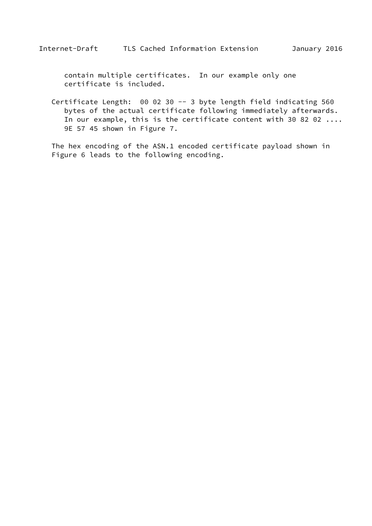contain multiple certificates. In our example only one certificate is included.

 Certificate Length: 00 02 30 -- 3 byte length field indicating 560 bytes of the actual certificate following immediately afterwards. In our example, this is the certificate content with 30 82 02 .... 9E 57 45 shown in Figure 7.

 The hex encoding of the ASN.1 encoded certificate payload shown in Figure 6 leads to the following encoding.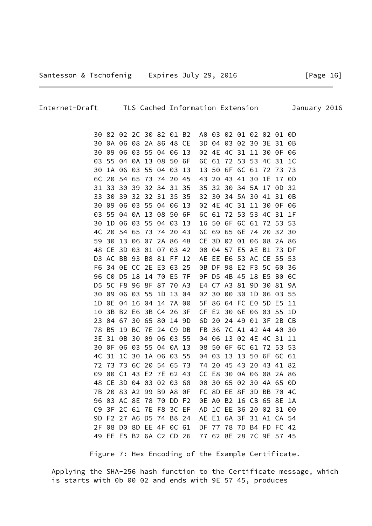Figure 7: Hex Encoding of the Example Certificate.

 9D F2 27 A6 D5 74 B8 24 AE E1 6A 3F 31 A1 CA 54 2F 08 D0 8D EE 4F 0C 61 DF 77 78 7D B4 FD FC 42 49 EE E5 B2 6A C2 CD 26 77 62 8E 28 7C 9E 57 45

 Applying the SHA-256 hash function to the Certificate message, which is starts with 0b 00 02 and ends with 9E 57 45, produces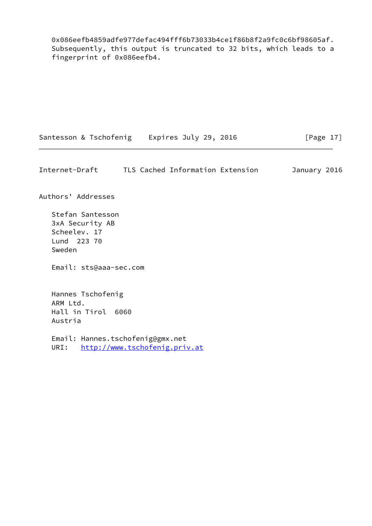0x086eefb4859adfe977defac494fff6b73033b4ce1f86b8f2a9fc0c6bf98605af. Subsequently, this output is truncated to 32 bits, which leads to a fingerprint of 0x086eefb4.

|  |  | Santesson & Tschofenig | Expires July 29, 2016 |  |  |  | [Page 17] |
|--|--|------------------------|-----------------------|--|--|--|-----------|
|--|--|------------------------|-----------------------|--|--|--|-----------|

<span id="page-19-0"></span>Internet-Draft TLS Cached Information Extension January 2016

Authors' Addresses

 Stefan Santesson 3xA Security AB Scheelev. 17 Lund 223 70 Sweden

Email: sts@aaa-sec.com

 Hannes Tschofenig ARM Ltd. Hall in Tirol 6060 Austria

 Email: Hannes.tschofenig@gmx.net URI: <http://www.tschofenig.priv.at>